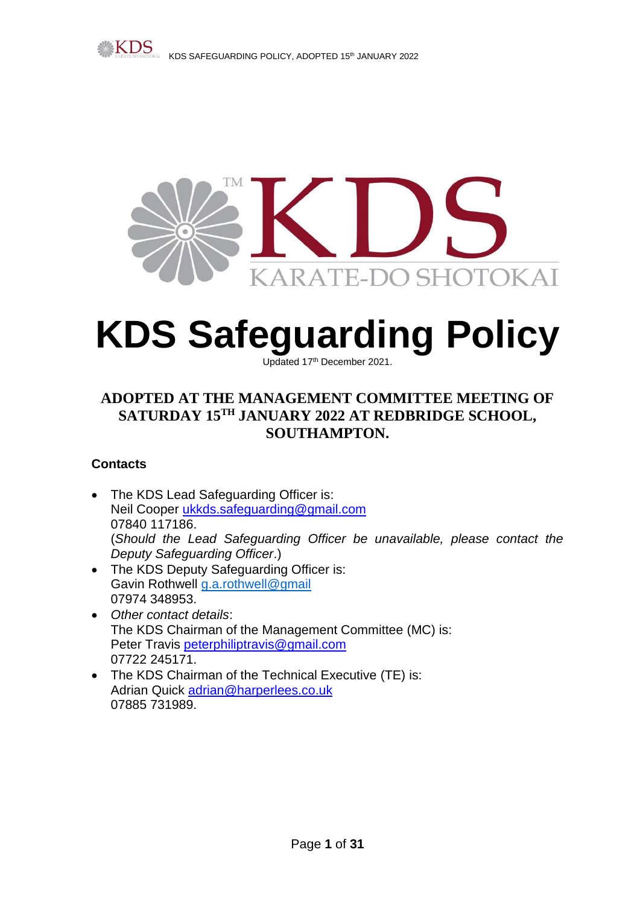



# **KDS Safeguarding Policy**

Updated 17<sup>th</sup> December 2021.

## **ADOPTED AT THE MANAGEMENT COMMITTEE MEETING OF SATURDAY 15 TH JANUARY 2022 AT REDBRIDGE SCHOOL, SOUTHAMPTON.**

### **Contacts**

- The KDS Lead Safeguarding Officer is: Neil Cooper [ukkds.safeguarding@gmail.com](mailto:ukkds.safeguarding@gmail.com) 07840 117186. (*Should the Lead Safeguarding Officer be unavailable, please contact the Deputy Safeguarding Officer*.)
- The KDS Deputy Safeguarding Officer is: Gavin Rothwell [g.a.rothwell@gmail](mailto:g.a.rothwell@gmail) 07974 348953.
- *Other contact details*: The KDS Chairman of the Management Committee (MC) is: Peter Travis [peterphiliptravis@gmail.com](mailto:peterphiliptravis@gmail.com) 07722 245171.
- The KDS Chairman of the Technical Executive (TE) is: Adrian Quick [adrian@harperlees.co.uk](mailto:adrian@harperlees.co.uk) 07885 731989.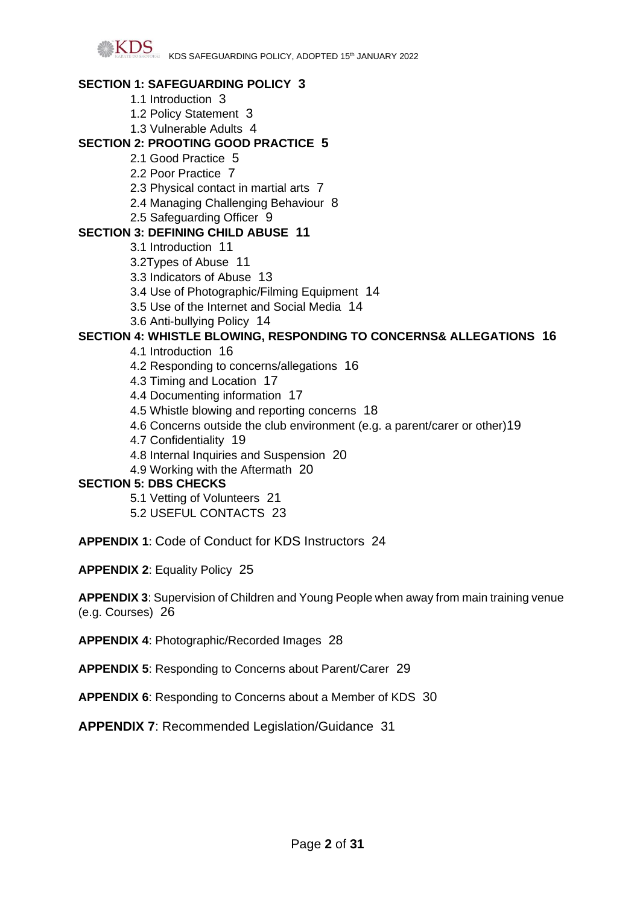

#### **SECTION 1: SAFEGUARDING POLICY 3**

- 1.1 Introduction 3
- 1.2 Policy Statement 3
- 1.3 Vulnerable Adults 4

#### **SECTION 2: PROOTING GOOD PRACTICE 5**

- 2.1 Good Practice 5
- 2.2 Poor Practice 7
- 2.3 Physical contact in martial arts 7
- 2.4 Managing Challenging Behaviour 8
- 2.5 Safeguarding Officer 9

#### **SECTION 3: DEFINING CHILD ABUSE 11**

- 3.1 Introduction 11
- 3.2Types of Abuse 11
- 3.3 Indicators of Abuse 13
- 3.4 Use of Photographic/Filming Equipment 14
- 3.5 Use of the Internet and Social Media 14
- 3.6 Anti-bullying Policy 14

#### **SECTION 4: WHISTLE BLOWING, RESPONDING TO CONCERNS& ALLEGATIONS 16**

- 4.1 Introduction 16
- 4.2 Responding to concerns/allegations 16
- 4.3 Timing and Location 17
- 4.4 Documenting information 17
- 4.5 Whistle blowing and reporting concerns 18
- 4.6 Concerns outside the club environment (e.g. a parent/carer or other)19
- 4.7 Confidentiality 19
- 4.8 Internal Inquiries and Suspension 20
- 4.9 Working with the Aftermath 20

#### **SECTION 5: DBS CHECKS**

- 5.1 Vetting of Volunteers 21
- 5.2 USEFUL CONTACTS 23

**APPENDIX 1**: Code of Conduct for KDS Instructors 24

**APPENDIX 2**: Equality Policy 25

**APPENDIX 3**: Supervision of Children and Young People when away from main training venue (e.g. Courses) 26

- **APPENDIX 4**: Photographic/Recorded Images 28
- **APPENDIX 5**: Responding to Concerns about Parent/Carer 29

**APPENDIX 6**: Responding to Concerns about a Member of KDS 30

**APPENDIX 7**: Recommended Legislation/Guidance 31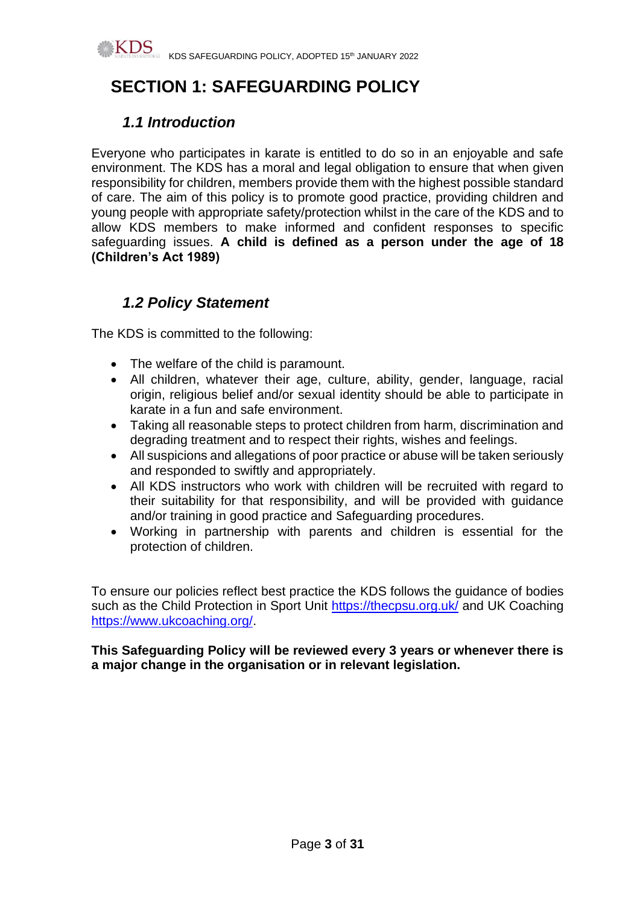

# **SECTION 1: SAFEGUARDING POLICY**

# *1.1 Introduction*

Everyone who participates in karate is entitled to do so in an enjoyable and safe environment. The KDS has a moral and legal obligation to ensure that when given responsibility for children, members provide them with the highest possible standard of care. The aim of this policy is to promote good practice, providing children and young people with appropriate safety/protection whilst in the care of the KDS and to allow KDS members to make informed and confident responses to specific safeguarding issues. **A child is defined as a person under the age of 18 (Children's Act 1989)** 

# *1.2 Policy Statement*

The KDS is committed to the following:

- The welfare of the child is paramount.
- All children, whatever their age, culture, ability, gender, language, racial origin, religious belief and/or sexual identity should be able to participate in karate in a fun and safe environment.
- Taking all reasonable steps to protect children from harm, discrimination and degrading treatment and to respect their rights, wishes and feelings.
- All suspicions and allegations of poor practice or abuse will be taken seriously and responded to swiftly and appropriately.
- All KDS instructors who work with children will be recruited with regard to their suitability for that responsibility, and will be provided with guidance and/or training in good practice and Safeguarding procedures.
- Working in partnership with parents and children is essential for the protection of children.

To ensure our policies reflect best practice the KDS follows the guidance of bodies such as the Child Protection in Sport Unit<https://thecpsu.org.uk/> and UK Coaching [https://www.ukcoaching.org/.](https://www.ukcoaching.org/)

**This Safeguarding Policy will be reviewed every 3 years or whenever there is a major change in the organisation or in relevant legislation.**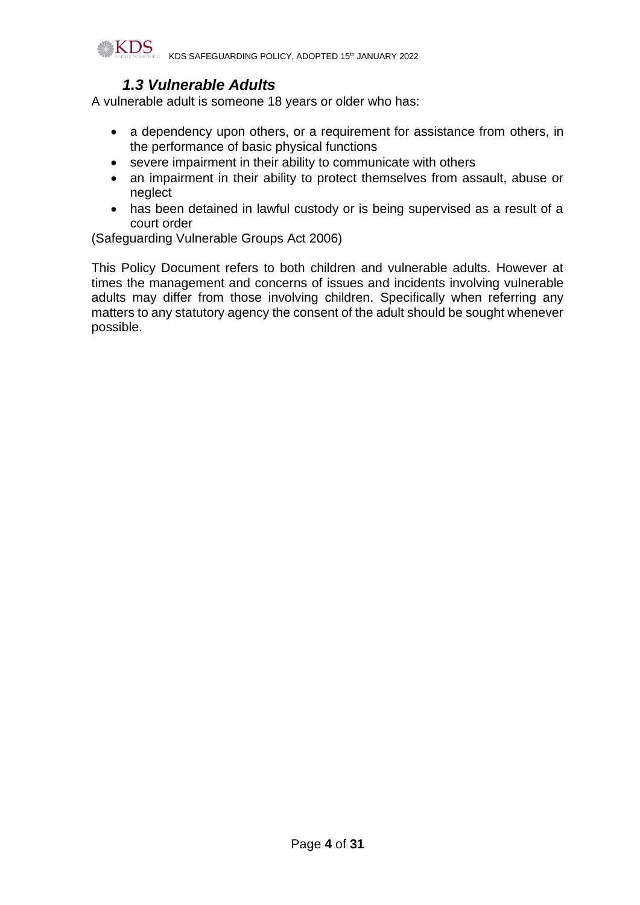

## *1.3 Vulnerable Adults*

A vulnerable adult is someone 18 years or older who has:

- a dependency upon others, or a requirement for assistance from others, in the performance of basic physical functions
- severe impairment in their ability to communicate with others
- an impairment in their ability to protect themselves from assault, abuse or neglect
- has been detained in lawful custody or is being supervised as a result of a court order

(Safeguarding Vulnerable Groups Act 2006)

This Policy Document refers to both children and vulnerable adults. However at times the management and concerns of issues and incidents involving vulnerable adults may differ from those involving children. Specifically when referring any matters to any statutory agency the consent of the adult should be sought whenever possible.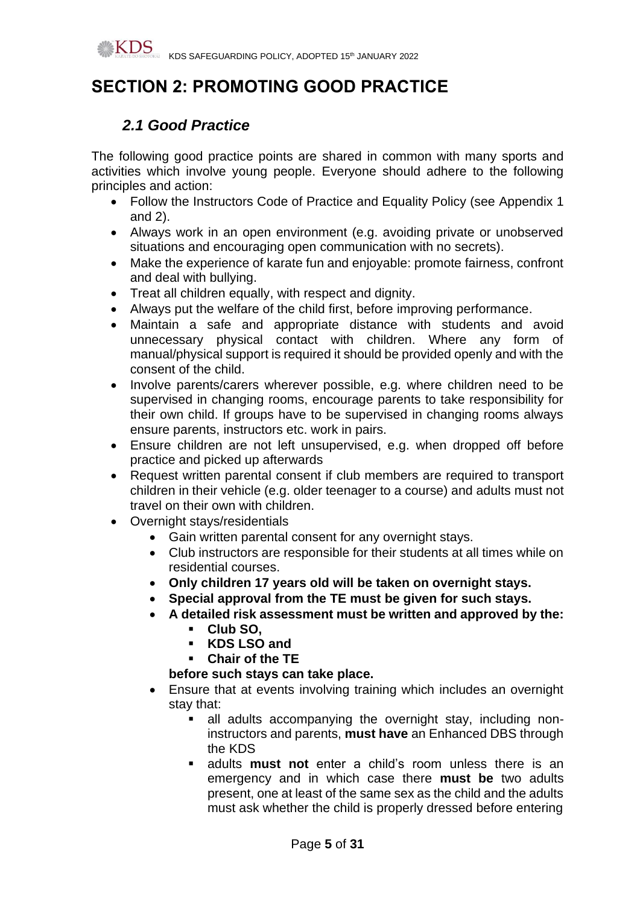# **SECTION 2: PROMOTING GOOD PRACTICE**

# *2.1 Good Practice*

The following good practice points are shared in common with many sports and activities which involve young people. Everyone should adhere to the following principles and action:

- Follow the Instructors Code of Practice and Equality Policy (see Appendix 1 and 2).
- Always work in an open environment (e.g. avoiding private or unobserved situations and encouraging open communication with no secrets).
- Make the experience of karate fun and enjoyable: promote fairness, confront and deal with bullying.
- Treat all children equally, with respect and dignity.
- Always put the welfare of the child first, before improving performance.
- Maintain a safe and appropriate distance with students and avoid unnecessary physical contact with children. Where any form of manual/physical support is required it should be provided openly and with the consent of the child.
- Involve parents/carers wherever possible, e.g. where children need to be supervised in changing rooms, encourage parents to take responsibility for their own child. If groups have to be supervised in changing rooms always ensure parents, instructors etc. work in pairs.
- Ensure children are not left unsupervised, e.g. when dropped off before practice and picked up afterwards
- Request written parental consent if club members are required to transport children in their vehicle (e.g. older teenager to a course) and adults must not travel on their own with children.
- Overnight stays/residentials
	- Gain written parental consent for any overnight stays.
	- Club instructors are responsible for their students at all times while on residential courses.
	- **Only children 17 years old will be taken on overnight stays.**
	- **Special approval from the TE must be given for such stays.**
	- **A detailed risk assessment must be written and approved by the:**
		- **Club SO,**
		- **KDS LSO and**
		- **Chair of the TE**

### **before such stays can take place.**

- Ensure that at events involving training which includes an overnight stay that:
	- **E** all adults accompanying the overnight stay, including noninstructors and parents, **must have** an Enhanced DBS through the KDS
	- adults **must not** enter a child's room unless there is an emergency and in which case there **must be** two adults present, one at least of the same sex as the child and the adults must ask whether the child is properly dressed before entering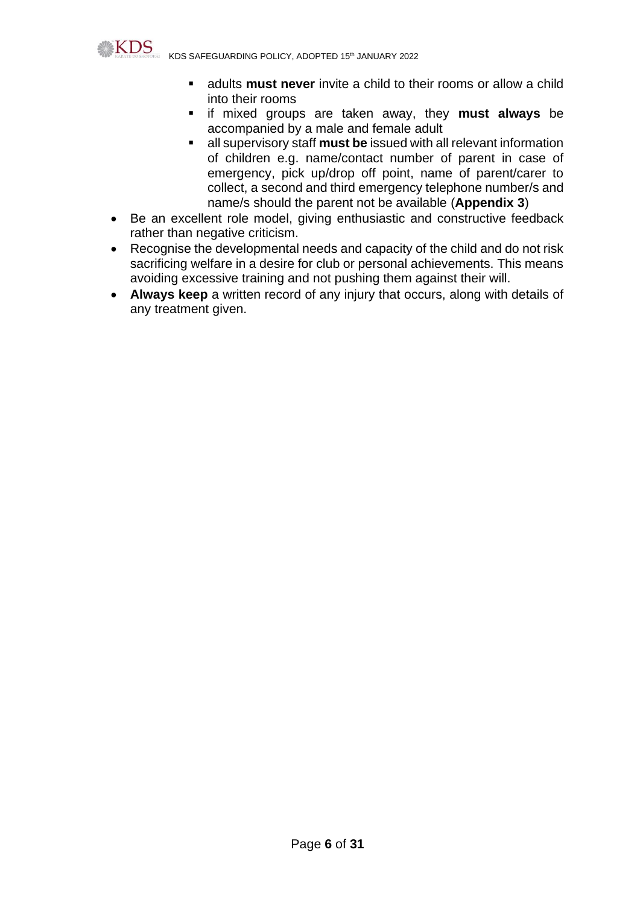

KDS SAFEGUARDING POLICY, ADOPTED 15th JANUARY 2022

- adults **must never** invite a child to their rooms or allow a child into their rooms
- if mixed groups are taken away, they **must always** be accompanied by a male and female adult
- **EXECT** all supervisory staff must be issued with all relevant information of children e.g. name/contact number of parent in case of emergency, pick up/drop off point, name of parent/carer to collect, a second and third emergency telephone number/s and name/s should the parent not be available (**Appendix 3**)
- Be an excellent role model, giving enthusiastic and constructive feedback rather than negative criticism.
- Recognise the developmental needs and capacity of the child and do not risk sacrificing welfare in a desire for club or personal achievements. This means avoiding excessive training and not pushing them against their will.
- **Always keep** a written record of any injury that occurs, along with details of any treatment given.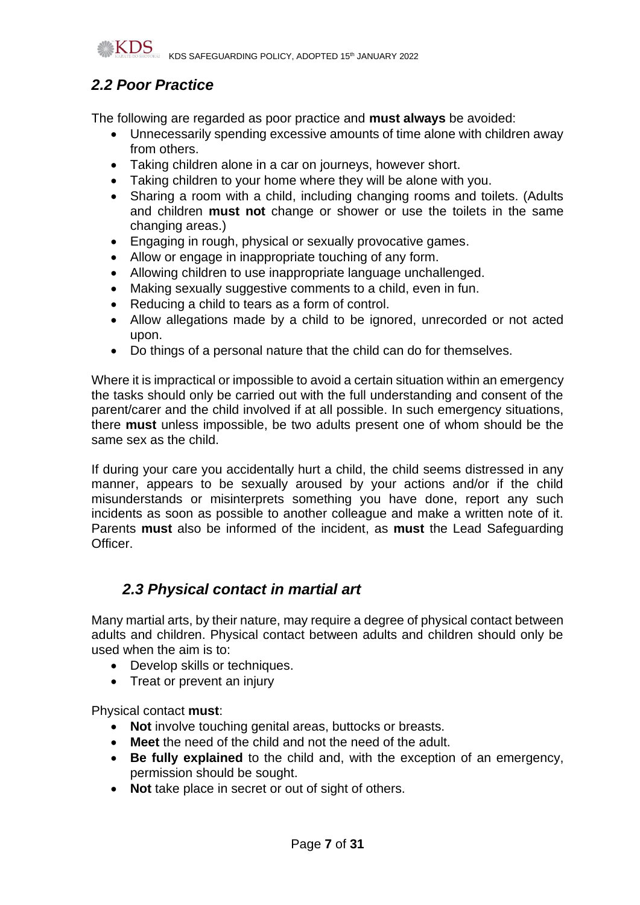

KDS SAFEGUARDING POLICY, ADOPTED 15th JANUARY 2022

# *2.2 Poor Practice*

The following are regarded as poor practice and **must always** be avoided:

- Unnecessarily spending excessive amounts of time alone with children away from others.
- Taking children alone in a car on journeys, however short.
- Taking children to your home where they will be alone with you.
- Sharing a room with a child, including changing rooms and toilets. (Adults and children **must not** change or shower or use the toilets in the same changing areas.)
- Engaging in rough, physical or sexually provocative games.
- Allow or engage in inappropriate touching of any form.
- Allowing children to use inappropriate language unchallenged.
- Making sexually suggestive comments to a child, even in fun.
- Reducing a child to tears as a form of control.
- Allow allegations made by a child to be ignored, unrecorded or not acted upon.
- Do things of a personal nature that the child can do for themselves.

Where it is impractical or impossible to avoid a certain situation within an emergency the tasks should only be carried out with the full understanding and consent of the parent/carer and the child involved if at all possible. In such emergency situations, there **must** unless impossible, be two adults present one of whom should be the same sex as the child.

If during your care you accidentally hurt a child, the child seems distressed in any manner, appears to be sexually aroused by your actions and/or if the child misunderstands or misinterprets something you have done, report any such incidents as soon as possible to another colleague and make a written note of it. Parents **must** also be informed of the incident, as **must** the Lead Safeguarding Officer.

# *2.3 Physical contact in martial art*

Many martial arts, by their nature, may require a degree of physical contact between adults and children. Physical contact between adults and children should only be used when the aim is to:

- Develop skills or techniques.
- Treat or prevent an injury

Physical contact **must**:

- **Not** involve touching genital areas, buttocks or breasts.
- **Meet** the need of the child and not the need of the adult.
- **Be fully explained** to the child and, with the exception of an emergency, permission should be sought.
- **Not** take place in secret or out of sight of others.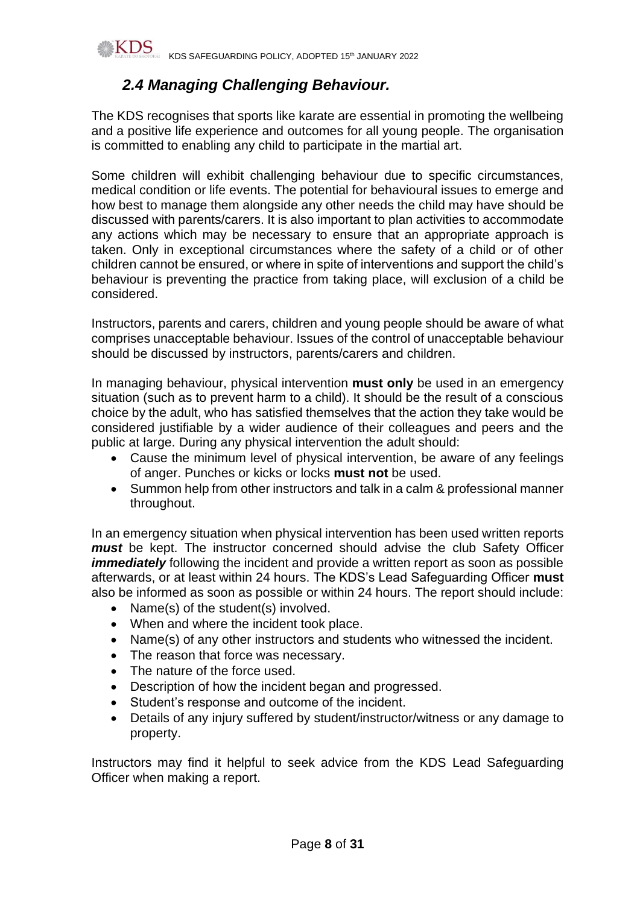

# *2.4 Managing Challenging Behaviour.*

The KDS recognises that sports like karate are essential in promoting the wellbeing and a positive life experience and outcomes for all young people. The organisation is committed to enabling any child to participate in the martial art.

Some children will exhibit challenging behaviour due to specific circumstances, medical condition or life events. The potential for behavioural issues to emerge and how best to manage them alongside any other needs the child may have should be discussed with parents/carers. It is also important to plan activities to accommodate any actions which may be necessary to ensure that an appropriate approach is taken. Only in exceptional circumstances where the safety of a child or of other children cannot be ensured, or where in spite of interventions and support the child's behaviour is preventing the practice from taking place, will exclusion of a child be considered.

Instructors, parents and carers, children and young people should be aware of what comprises unacceptable behaviour. Issues of the control of unacceptable behaviour should be discussed by instructors, parents/carers and children.

In managing behaviour, physical intervention **must only** be used in an emergency situation (such as to prevent harm to a child). It should be the result of a conscious choice by the adult, who has satisfied themselves that the action they take would be considered justifiable by a wider audience of their colleagues and peers and the public at large. During any physical intervention the adult should:

- Cause the minimum level of physical intervention, be aware of any feelings of anger. Punches or kicks or locks **must not** be used.
- Summon help from other instructors and talk in a calm & professional manner throughout.

In an emergency situation when physical intervention has been used written reports *must* be kept. The instructor concerned should advise the club Safety Officer *immediately* following the incident and provide a written report as soon as possible afterwards, or at least within 24 hours. The KDS's Lead Safeguarding Officer **must** also be informed as soon as possible or within 24 hours. The report should include:

- Name(s) of the student(s) involved.
- When and where the incident took place.
- Name(s) of any other instructors and students who witnessed the incident.
- The reason that force was necessary.
- The nature of the force used.
- Description of how the incident began and progressed.
- Student's response and outcome of the incident.
- Details of any injury suffered by student/instructor/witness or any damage to property.

Instructors may find it helpful to seek advice from the KDS Lead Safeguarding Officer when making a report.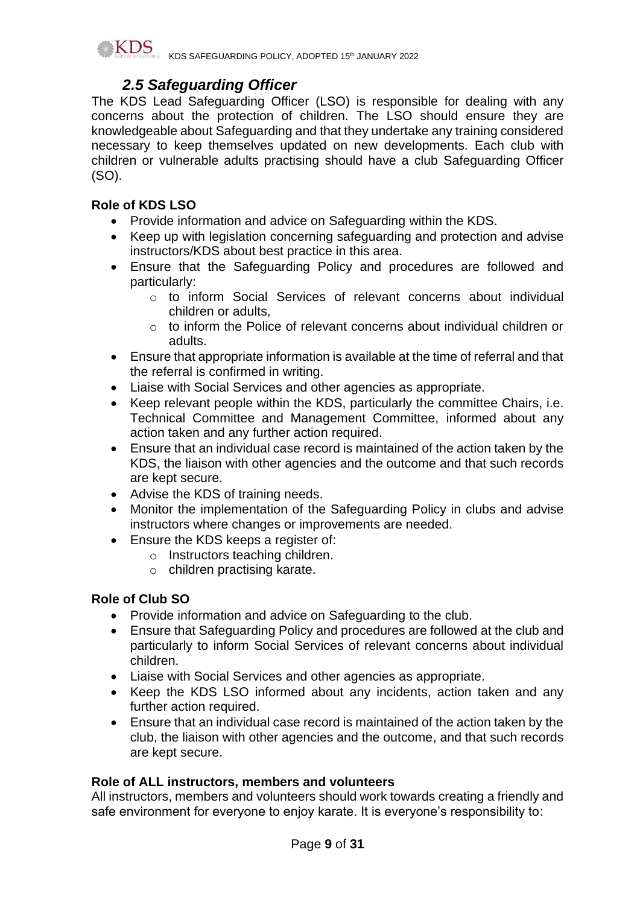

## *2.5 Safeguarding Officer*

The KDS Lead Safeguarding Officer (LSO) is responsible for dealing with any concerns about the protection of children. The LSO should ensure they are knowledgeable about Safeguarding and that they undertake any training considered necessary to keep themselves updated on new developments. Each club with children or vulnerable adults practising should have a club Safeguarding Officer (SO).

### **Role of KDS LSO**

- Provide information and advice on Safeguarding within the KDS.
- Keep up with legislation concerning safeguarding and protection and advise instructors/KDS about best practice in this area.
- Ensure that the Safeguarding Policy and procedures are followed and particularly:
	- o to inform Social Services of relevant concerns about individual children or adults,
	- $\circ$  to inform the Police of relevant concerns about individual children or adults.
- Ensure that appropriate information is available at the time of referral and that the referral is confirmed in writing.
- Liaise with Social Services and other agencies as appropriate.
- Keep relevant people within the KDS, particularly the committee Chairs, i.e. Technical Committee and Management Committee, informed about any action taken and any further action required.
- Ensure that an individual case record is maintained of the action taken by the KDS, the liaison with other agencies and the outcome and that such records are kept secure.
- Advise the KDS of training needs.
- Monitor the implementation of the Safeguarding Policy in clubs and advise instructors where changes or improvements are needed.
- Ensure the KDS keeps a register of:
	- o Instructors teaching children.
	- o children practising karate.

### **Role of Club SO**

- Provide information and advice on Safeguarding to the club.
- Ensure that Safeguarding Policy and procedures are followed at the club and particularly to inform Social Services of relevant concerns about individual children.
- Liaise with Social Services and other agencies as appropriate.
- Keep the KDS LSO informed about any incidents, action taken and any further action required.
- Ensure that an individual case record is maintained of the action taken by the club, the liaison with other agencies and the outcome, and that such records are kept secure.

#### **Role of ALL instructors, members and volunteers**

All instructors, members and volunteers should work towards creating a friendly and safe environment for everyone to enjoy karate. It is everyone's responsibility to: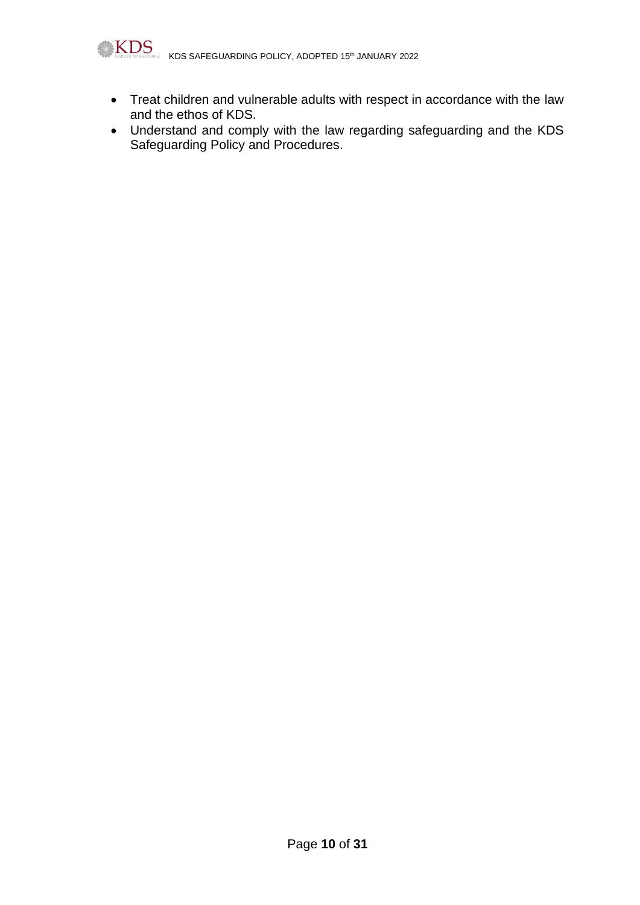

- Treat children and vulnerable adults with respect in accordance with the law and the ethos of KDS.
- Understand and comply with the law regarding safeguarding and the KDS Safeguarding Policy and Procedures.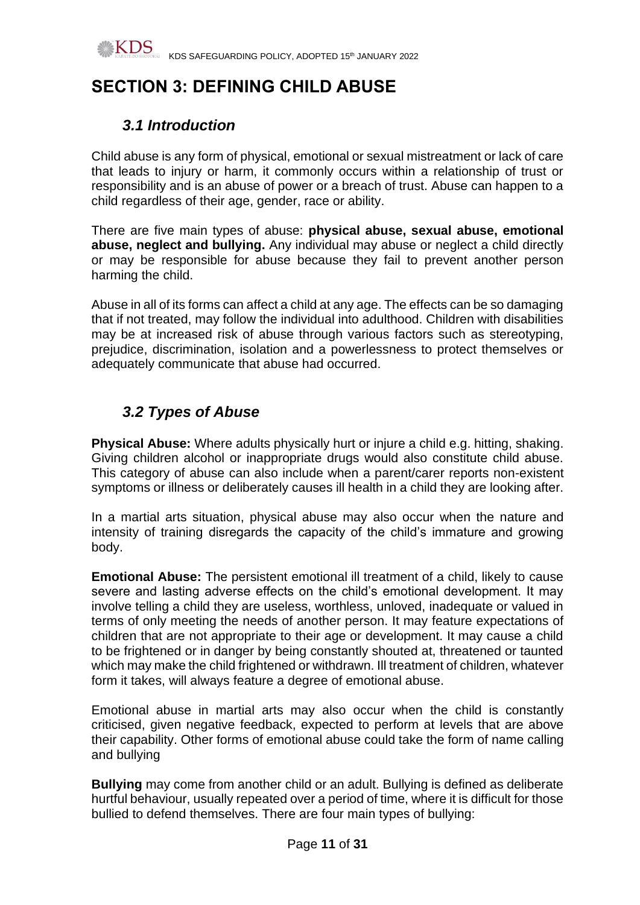

# **SECTION 3: DEFINING CHILD ABUSE**

# *3.1 Introduction*

Child abuse is any form of physical, emotional or sexual mistreatment or lack of care that leads to injury or harm, it commonly occurs within a relationship of trust or responsibility and is an abuse of power or a breach of trust. Abuse can happen to a child regardless of their age, gender, race or ability.

There are five main types of abuse: **physical abuse, sexual abuse, emotional abuse, neglect and bullying.** Any individual may abuse or neglect a child directly or may be responsible for abuse because they fail to prevent another person harming the child.

Abuse in all of its forms can affect a child at any age. The effects can be so damaging that if not treated, may follow the individual into adulthood. Children with disabilities may be at increased risk of abuse through various factors such as stereotyping, prejudice, discrimination, isolation and a powerlessness to protect themselves or adequately communicate that abuse had occurred.

# *3.2 Types of Abuse*

**Physical Abuse:** Where adults physically hurt or injure a child e.g. hitting, shaking. Giving children alcohol or inappropriate drugs would also constitute child abuse. This category of abuse can also include when a parent/carer reports non-existent symptoms or illness or deliberately causes ill health in a child they are looking after.

In a martial arts situation, physical abuse may also occur when the nature and intensity of training disregards the capacity of the child's immature and growing body.

**Emotional Abuse:** The persistent emotional ill treatment of a child, likely to cause severe and lasting adverse effects on the child's emotional development. It may involve telling a child they are useless, worthless, unloved, inadequate or valued in terms of only meeting the needs of another person. It may feature expectations of children that are not appropriate to their age or development. It may cause a child to be frightened or in danger by being constantly shouted at, threatened or taunted which may make the child frightened or withdrawn. Ill treatment of children, whatever form it takes, will always feature a degree of emotional abuse.

Emotional abuse in martial arts may also occur when the child is constantly criticised, given negative feedback, expected to perform at levels that are above their capability. Other forms of emotional abuse could take the form of name calling and bullying

**Bullying** may come from another child or an adult. Bullying is defined as deliberate hurtful behaviour, usually repeated over a period of time, where it is difficult for those bullied to defend themselves. There are four main types of bullying: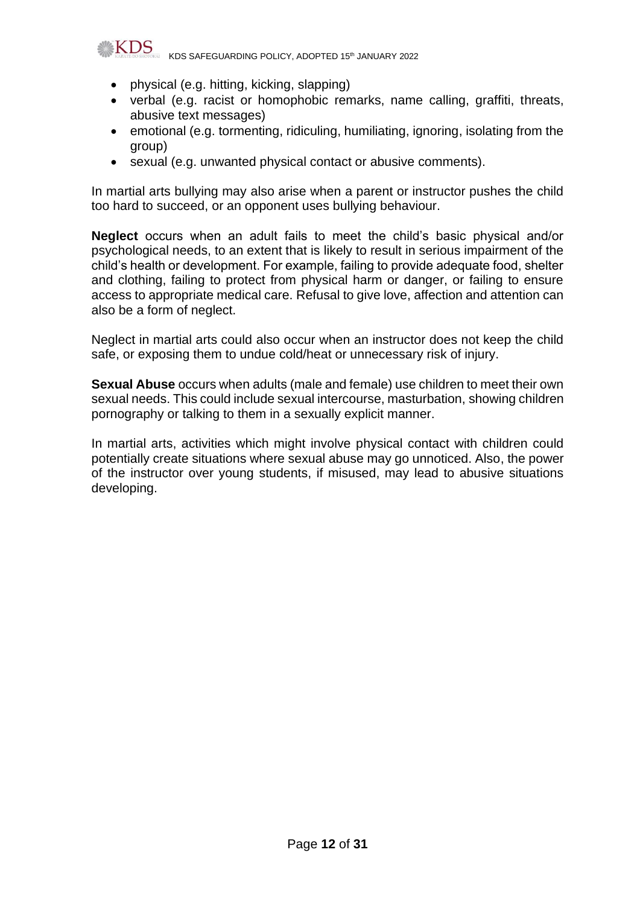

- physical (e.g. hitting, kicking, slapping)
- verbal (e.g. racist or homophobic remarks, name calling, graffiti, threats, abusive text messages)
- emotional (e.g. tormenting, ridiculing, humiliating, ignoring, isolating from the group)
- sexual (e.g. unwanted physical contact or abusive comments).

In martial arts bullying may also arise when a parent or instructor pushes the child too hard to succeed, or an opponent uses bullying behaviour.

**Neglect** occurs when an adult fails to meet the child's basic physical and/or psychological needs, to an extent that is likely to result in serious impairment of the child's health or development. For example, failing to provide adequate food, shelter and clothing, failing to protect from physical harm or danger, or failing to ensure access to appropriate medical care. Refusal to give love, affection and attention can also be a form of neglect.

Neglect in martial arts could also occur when an instructor does not keep the child safe, or exposing them to undue cold/heat or unnecessary risk of injury.

**Sexual Abuse** occurs when adults (male and female) use children to meet their own sexual needs. This could include sexual intercourse, masturbation, showing children pornography or talking to them in a sexually explicit manner.

In martial arts, activities which might involve physical contact with children could potentially create situations where sexual abuse may go unnoticed. Also, the power of the instructor over young students, if misused, may lead to abusive situations developing.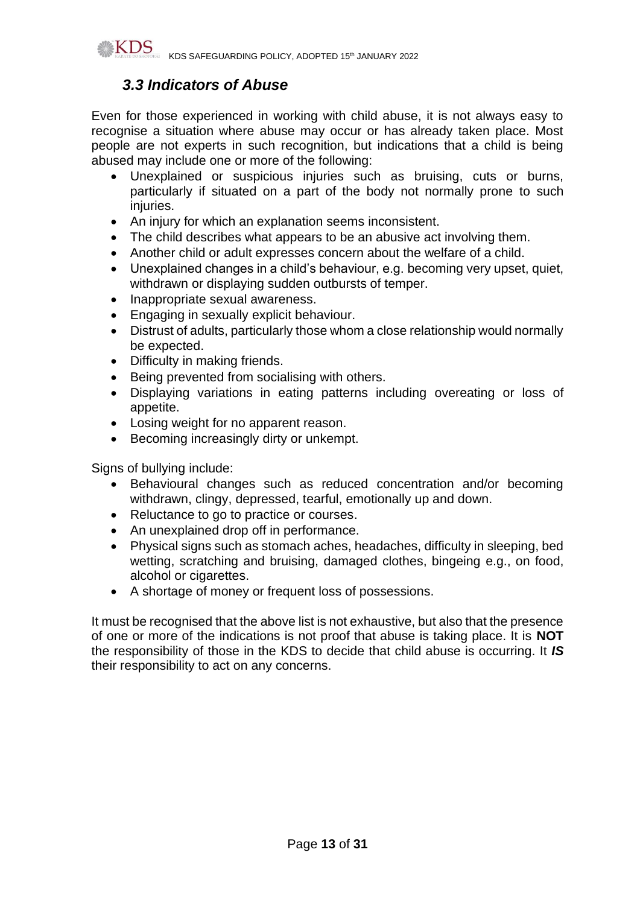

## *3.3 Indicators of Abuse*

Even for those experienced in working with child abuse, it is not always easy to recognise a situation where abuse may occur or has already taken place. Most people are not experts in such recognition, but indications that a child is being abused may include one or more of the following:

- Unexplained or suspicious injuries such as bruising, cuts or burns, particularly if situated on a part of the body not normally prone to such injuries.
- An injury for which an explanation seems inconsistent.
- The child describes what appears to be an abusive act involving them.
- Another child or adult expresses concern about the welfare of a child.
- Unexplained changes in a child's behaviour, e.g. becoming very upset, quiet, withdrawn or displaying sudden outbursts of temper.
- Inappropriate sexual awareness.
- Engaging in sexually explicit behaviour.
- Distrust of adults, particularly those whom a close relationship would normally be expected.
- Difficulty in making friends.
- Being prevented from socialising with others.
- Displaying variations in eating patterns including overeating or loss of appetite.
- Losing weight for no apparent reason.
- Becoming increasingly dirty or unkempt.

Signs of bullying include:

- Behavioural changes such as reduced concentration and/or becoming withdrawn, clingy, depressed, tearful, emotionally up and down.
- Reluctance to go to practice or courses.
- An unexplained drop off in performance.
- Physical signs such as stomach aches, headaches, difficulty in sleeping, bed wetting, scratching and bruising, damaged clothes, bingeing e.g., on food, alcohol or cigarettes.
- A shortage of money or frequent loss of possessions.

It must be recognised that the above list is not exhaustive, but also that the presence of one or more of the indications is not proof that abuse is taking place. It is **NOT**  the responsibility of those in the KDS to decide that child abuse is occurring. It *IS*  their responsibility to act on any concerns.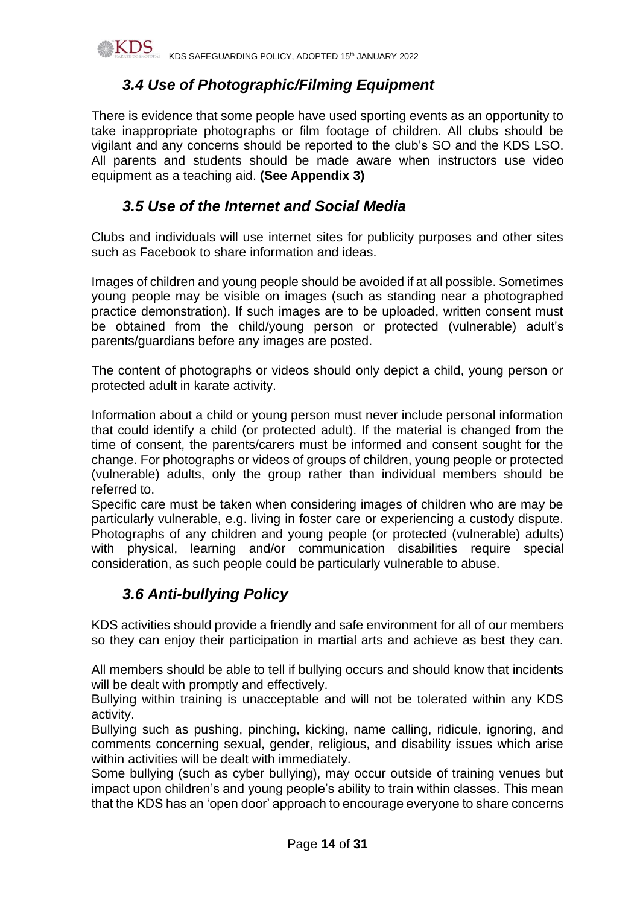

## *3.4 Use of Photographic/Filming Equipment*

There is evidence that some people have used sporting events as an opportunity to take inappropriate photographs or film footage of children. All clubs should be vigilant and any concerns should be reported to the club's SO and the KDS LSO. All parents and students should be made aware when instructors use video equipment as a teaching aid. **(See Appendix 3)**

## *3.5 Use of the Internet and Social Media*

Clubs and individuals will use internet sites for publicity purposes and other sites such as Facebook to share information and ideas.

Images of children and young people should be avoided if at all possible. Sometimes young people may be visible on images (such as standing near a photographed practice demonstration). If such images are to be uploaded, written consent must be obtained from the child/young person or protected (vulnerable) adult's parents/guardians before any images are posted.

The content of photographs or videos should only depict a child, young person or protected adult in karate activity.

Information about a child or young person must never include personal information that could identify a child (or protected adult). If the material is changed from the time of consent, the parents/carers must be informed and consent sought for the change. For photographs or videos of groups of children, young people or protected (vulnerable) adults, only the group rather than individual members should be referred to.

Specific care must be taken when considering images of children who are may be particularly vulnerable, e.g. living in foster care or experiencing a custody dispute. Photographs of any children and young people (or protected (vulnerable) adults) with physical, learning and/or communication disabilities require special consideration, as such people could be particularly vulnerable to abuse.

## *3.6 Anti-bullying Policy*

KDS activities should provide a friendly and safe environment for all of our members so they can enjoy their participation in martial arts and achieve as best they can.

All members should be able to tell if bullying occurs and should know that incidents will be dealt with promptly and effectively.

Bullying within training is unacceptable and will not be tolerated within any KDS activity.

Bullying such as pushing, pinching, kicking, name calling, ridicule, ignoring, and comments concerning sexual, gender, religious, and disability issues which arise within activities will be dealt with immediately.

Some bullying (such as cyber bullying), may occur outside of training venues but impact upon children's and young people's ability to train within classes. This mean that the KDS has an 'open door' approach to encourage everyone to share concerns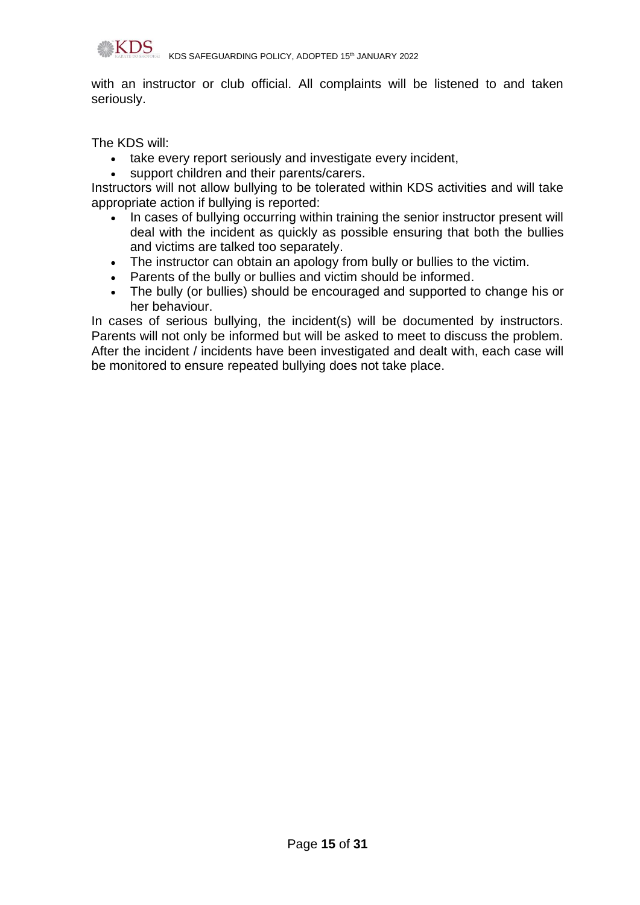

with an instructor or club official. All complaints will be listened to and taken seriously.

The KDS will:

- take every report seriously and investigate every incident,
- support children and their parents/carers.

Instructors will not allow bullying to be tolerated within KDS activities and will take appropriate action if bullying is reported:

- In cases of bullying occurring within training the senior instructor present will deal with the incident as quickly as possible ensuring that both the bullies and victims are talked too separately.
- The instructor can obtain an apology from bully or bullies to the victim.
- Parents of the bully or bullies and victim should be informed.
- The bully (or bullies) should be encouraged and supported to change his or her behaviour.

In cases of serious bullying, the incident(s) will be documented by instructors. Parents will not only be informed but will be asked to meet to discuss the problem. After the incident / incidents have been investigated and dealt with, each case will be monitored to ensure repeated bullying does not take place.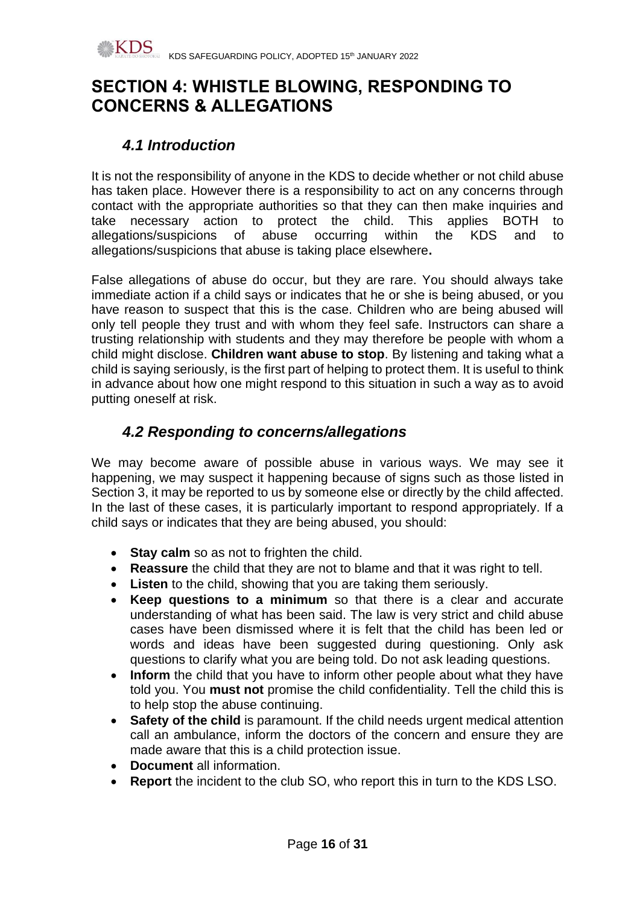# **SECTION 4: WHISTLE BLOWING, RESPONDING TO CONCERNS & ALLEGATIONS**

# *4.1 Introduction*

It is not the responsibility of anyone in the KDS to decide whether or not child abuse has taken place. However there is a responsibility to act on any concerns through contact with the appropriate authorities so that they can then make inquiries and take necessary action to protect the child. This applies BOTH to allegations/suspicions of abuse occurring within the KDS and to allegations/suspicions that abuse is taking place elsewhere**.**

False allegations of abuse do occur, but they are rare. You should always take immediate action if a child says or indicates that he or she is being abused, or you have reason to suspect that this is the case. Children who are being abused will only tell people they trust and with whom they feel safe. Instructors can share a trusting relationship with students and they may therefore be people with whom a child might disclose. **Children want abuse to stop**. By listening and taking what a child is saying seriously, is the first part of helping to protect them. It is useful to think in advance about how one might respond to this situation in such a way as to avoid putting oneself at risk.

# *4.2 Responding to concerns/allegations*

We may become aware of possible abuse in various ways. We may see it happening, we may suspect it happening because of signs such as those listed in Section 3, it may be reported to us by someone else or directly by the child affected. In the last of these cases, it is particularly important to respond appropriately. If a child says or indicates that they are being abused, you should:

- **Stay calm** so as not to frighten the child.
- **Reassure** the child that they are not to blame and that it was right to tell.
- **Listen** to the child, showing that you are taking them seriously.
- **Keep questions to a minimum** so that there is a clear and accurate understanding of what has been said. The law is very strict and child abuse cases have been dismissed where it is felt that the child has been led or words and ideas have been suggested during questioning. Only ask questions to clarify what you are being told. Do not ask leading questions.
- **Inform** the child that you have to inform other people about what they have told you. You **must not** promise the child confidentiality. Tell the child this is to help stop the abuse continuing.
- **Safety of the child** is paramount. If the child needs urgent medical attention call an ambulance, inform the doctors of the concern and ensure they are made aware that this is a child protection issue.
- **Document** all information.
- **Report** the incident to the club SO, who report this in turn to the KDS LSO.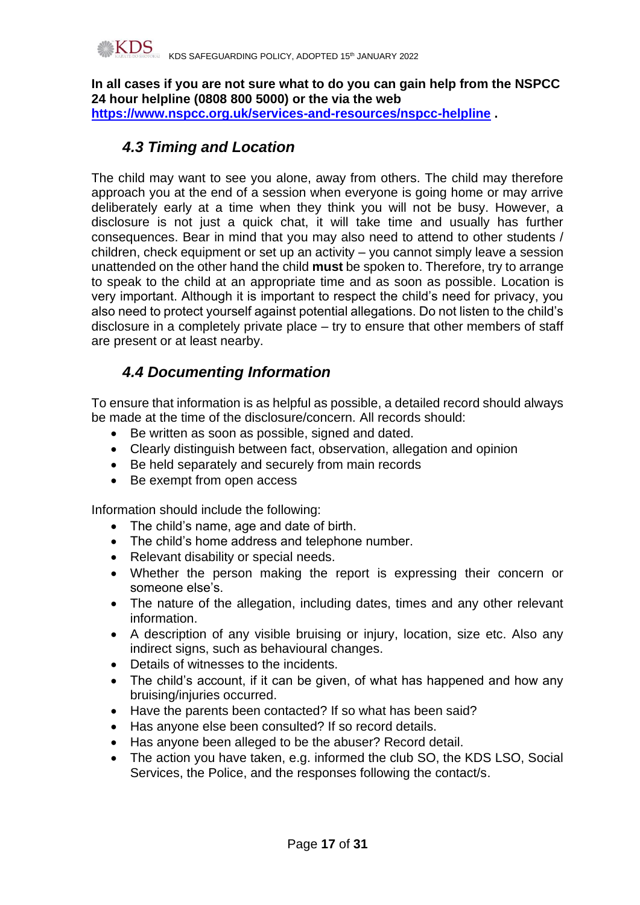

**In all cases if you are not sure what to do you can gain help from the NSPCC 24 hour helpline (0808 800 5000) or the via the web <https://www.nspcc.org.uk/services-and-resources/nspcc-helpline> .**

## *4.3 Timing and Location*

The child may want to see you alone, away from others. The child may therefore approach you at the end of a session when everyone is going home or may arrive deliberately early at a time when they think you will not be busy. However, a disclosure is not just a quick chat, it will take time and usually has further consequences. Bear in mind that you may also need to attend to other students / children, check equipment or set up an activity – you cannot simply leave a session unattended on the other hand the child **must** be spoken to. Therefore, try to arrange to speak to the child at an appropriate time and as soon as possible. Location is very important. Although it is important to respect the child's need for privacy, you also need to protect yourself against potential allegations. Do not listen to the child's disclosure in a completely private place – try to ensure that other members of staff are present or at least nearby.

# *4.4 Documenting Information*

To ensure that information is as helpful as possible, a detailed record should always be made at the time of the disclosure/concern. All records should:

- Be written as soon as possible, signed and dated.
- Clearly distinguish between fact, observation, allegation and opinion
- Be held separately and securely from main records
- Be exempt from open access

Information should include the following:

- The child's name, age and date of birth.
- The child's home address and telephone number.
- Relevant disability or special needs.
- Whether the person making the report is expressing their concern or someone else's.
- The nature of the allegation, including dates, times and any other relevant information.
- A description of any visible bruising or injury, location, size etc. Also any indirect signs, such as behavioural changes.
- Details of witnesses to the incidents.
- The child's account, if it can be given, of what has happened and how any bruising/injuries occurred.
- Have the parents been contacted? If so what has been said?
- Has anyone else been consulted? If so record details.
- Has anyone been alleged to be the abuser? Record detail.
- The action you have taken, e.g. informed the club SO, the KDS LSO, Social Services, the Police, and the responses following the contact/s.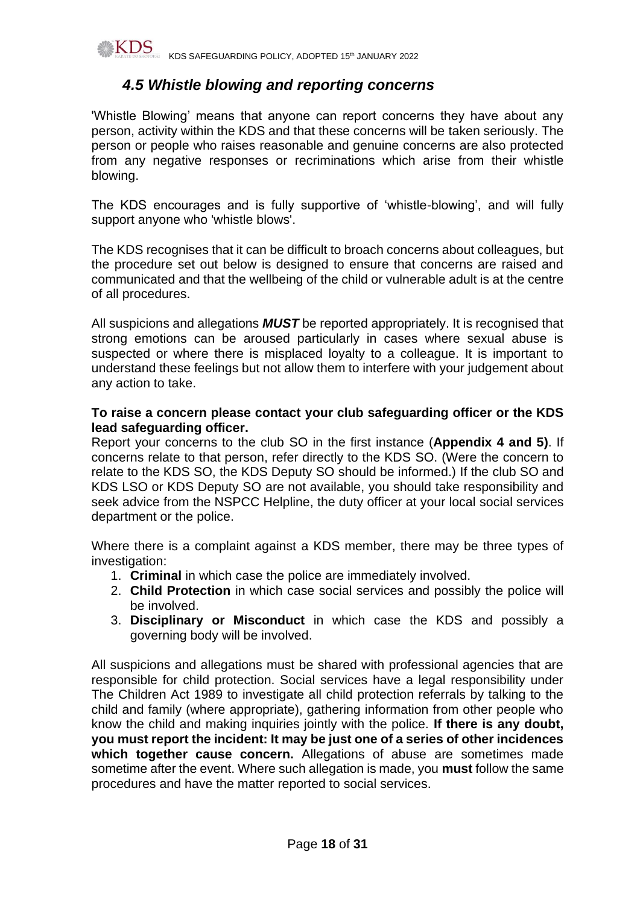

## *4.5 Whistle blowing and reporting concerns*

'Whistle Blowing' means that anyone can report concerns they have about any person, activity within the KDS and that these concerns will be taken seriously. The person or people who raises reasonable and genuine concerns are also protected from any negative responses or recriminations which arise from their whistle blowing.

The KDS encourages and is fully supportive of 'whistle-blowing', and will fully support anyone who 'whistle blows'.

The KDS recognises that it can be difficult to broach concerns about colleagues, but the procedure set out below is designed to ensure that concerns are raised and communicated and that the wellbeing of the child or vulnerable adult is at the centre of all procedures.

All suspicions and allegations *MUST* be reported appropriately. It is recognised that strong emotions can be aroused particularly in cases where sexual abuse is suspected or where there is misplaced loyalty to a colleague. It is important to understand these feelings but not allow them to interfere with your judgement about any action to take.

#### **To raise a concern please contact your club safeguarding officer or the KDS lead safeguarding officer.**

Report your concerns to the club SO in the first instance (**Appendix 4 and 5)**. If concerns relate to that person, refer directly to the KDS SO. (Were the concern to relate to the KDS SO, the KDS Deputy SO should be informed.) If the club SO and KDS LSO or KDS Deputy SO are not available, you should take responsibility and seek advice from the NSPCC Helpline, the duty officer at your local social services department or the police.

Where there is a complaint against a KDS member, there may be three types of investigation:

- 1. **Criminal** in which case the police are immediately involved.
- 2. **Child Protection** in which case social services and possibly the police will be involved.
- 3. **Disciplinary or Misconduct** in which case the KDS and possibly a governing body will be involved.

All suspicions and allegations must be shared with professional agencies that are responsible for child protection. Social services have a legal responsibility under The Children Act 1989 to investigate all child protection referrals by talking to the child and family (where appropriate), gathering information from other people who know the child and making inquiries jointly with the police. **If there is any doubt, you must report the incident: It may be just one of a series of other incidences which together cause concern.** Allegations of abuse are sometimes made sometime after the event. Where such allegation is made, you **must** follow the same procedures and have the matter reported to social services.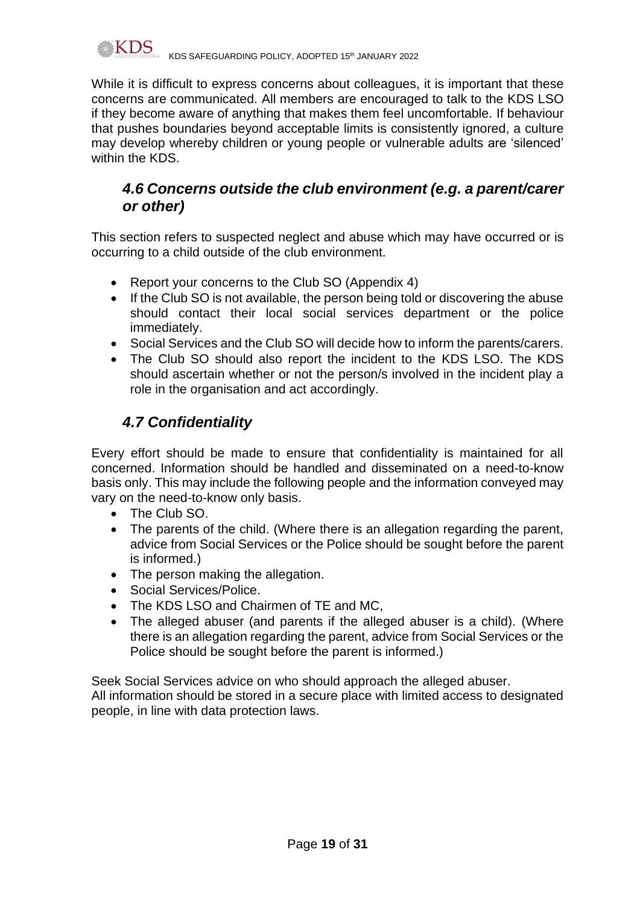

While it is difficult to express concerns about colleagues, it is important that these concerns are communicated. All members are encouraged to talk to the KDS LSO if they become aware of anything that makes them feel uncomfortable. If behaviour that pushes boundaries beyond acceptable limits is consistently ignored, a culture may develop whereby children or young people or vulnerable adults are 'silenced' within the KDS.

## *4.6 Concerns outside the club environment (e.g. a parent/carer or other)*

This section refers to suspected neglect and abuse which may have occurred or is occurring to a child outside of the club environment.

- Report your concerns to the Club SO (Appendix 4)
- If the Club SO is not available, the person being told or discovering the abuse should contact their local social services department or the police immediately.
- Social Services and the Club SO will decide how to inform the parents/carers.
- The Club SO should also report the incident to the KDS LSO. The KDS should ascertain whether or not the person/s involved in the incident play a role in the organisation and act accordingly.

# *4.7 Confidentiality*

Every effort should be made to ensure that confidentiality is maintained for all concerned. Information should be handled and disseminated on a need-to-know basis only. This may include the following people and the information conveyed may vary on the need-to-know only basis.

- The Club SO.
- The parents of the child. (Where there is an allegation regarding the parent, advice from Social Services or the Police should be sought before the parent is informed.)
- The person making the allegation.
- Social Services/Police.
- The KDS LSO and Chairmen of TE and MC,
- The alleged abuser (and parents if the alleged abuser is a child). (Where there is an allegation regarding the parent, advice from Social Services or the Police should be sought before the parent is informed.)

Seek Social Services advice on who should approach the alleged abuser. All information should be stored in a secure place with limited access to designated people, in line with data protection laws.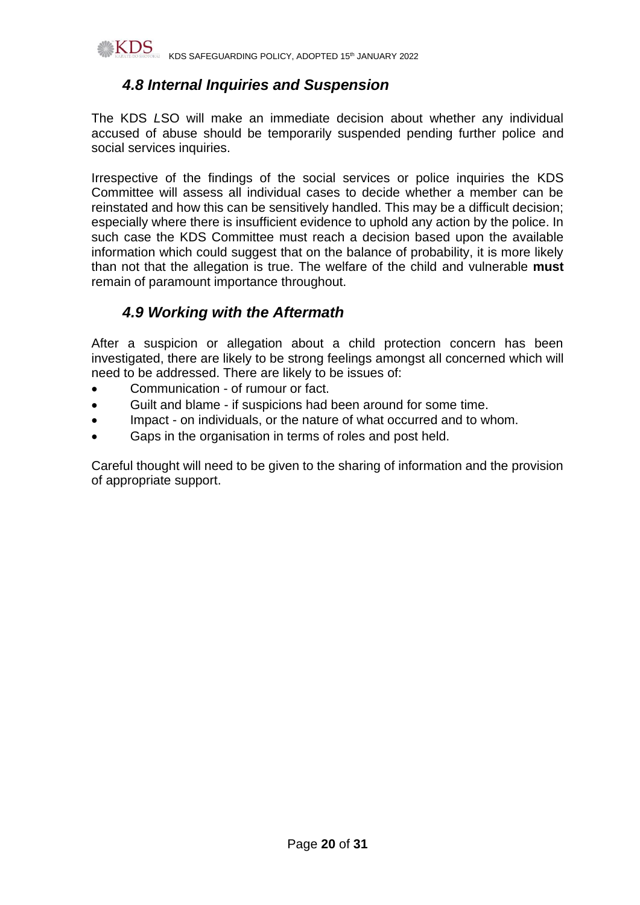

## *4.8 Internal Inquiries and Suspension*

The KDS *L*SO will make an immediate decision about whether any individual accused of abuse should be temporarily suspended pending further police and social services inquiries.

Irrespective of the findings of the social services or police inquiries the KDS Committee will assess all individual cases to decide whether a member can be reinstated and how this can be sensitively handled. This may be a difficult decision; especially where there is insufficient evidence to uphold any action by the police. In such case the KDS Committee must reach a decision based upon the available information which could suggest that on the balance of probability, it is more likely than not that the allegation is true. The welfare of the child and vulnerable **must** remain of paramount importance throughout.

# *4.9 Working with the Aftermath*

After a suspicion or allegation about a child protection concern has been investigated, there are likely to be strong feelings amongst all concerned which will need to be addressed. There are likely to be issues of:

- Communication of rumour or fact.
- Guilt and blame if suspicions had been around for some time.
- Impact on individuals, or the nature of what occurred and to whom.
- Gaps in the organisation in terms of roles and post held.

Careful thought will need to be given to the sharing of information and the provision of appropriate support.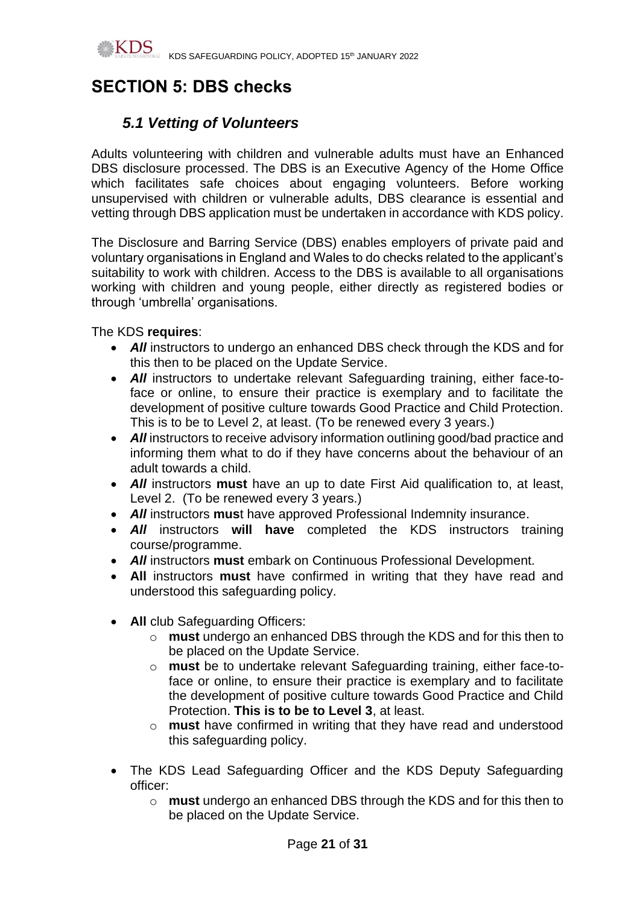

# **SECTION 5: DBS checks**

# *5.1 Vetting of Volunteers*

Adults volunteering with children and vulnerable adults must have an Enhanced DBS disclosure processed. The DBS is an Executive Agency of the Home Office which facilitates safe choices about engaging volunteers. Before working unsupervised with children or vulnerable adults, DBS clearance is essential and vetting through DBS application must be undertaken in accordance with KDS policy.

The Disclosure and Barring Service (DBS) enables employers of private paid and voluntary organisations in England and Wales to do checks related to the applicant's suitability to work with children. Access to the DBS is available to all organisations working with children and young people, either directly as registered bodies or through 'umbrella' organisations.

The KDS **requires**:

- All instructors to undergo an enhanced DBS check through the KDS and for this then to be placed on the Update Service.
- **All** instructors to undertake relevant Safeguarding training, either face-toface or online, to ensure their practice is exemplary and to facilitate the development of positive culture towards Good Practice and Child Protection. This is to be to Level 2, at least. (To be renewed every 3 years.)
- All instructors to receive advisory information outlining good/bad practice and informing them what to do if they have concerns about the behaviour of an adult towards a child.
- *All* instructors **must** have an up to date First Aid qualification to, at least, Level 2. (To be renewed every 3 years.)
- *All* instructors **mus**t have approved Professional Indemnity insurance.
- *All* instructors **will have** completed the KDS instructors training course/programme.
- *All* instructors **must** embark on Continuous Professional Development.
- **All** instructors **must** have confirmed in writing that they have read and understood this safeguarding policy.
- **All** club Safeguarding Officers:
	- o **must** undergo an enhanced DBS through the KDS and for this then to be placed on the Update Service.
	- o **must** be to undertake relevant Safeguarding training, either face-toface or online, to ensure their practice is exemplary and to facilitate the development of positive culture towards Good Practice and Child Protection. **This is to be to Level 3**, at least.
	- o **must** have confirmed in writing that they have read and understood this safeguarding policy.
- The KDS Lead Safeguarding Officer and the KDS Deputy Safeguarding officer:
	- o **must** undergo an enhanced DBS through the KDS and for this then to be placed on the Update Service.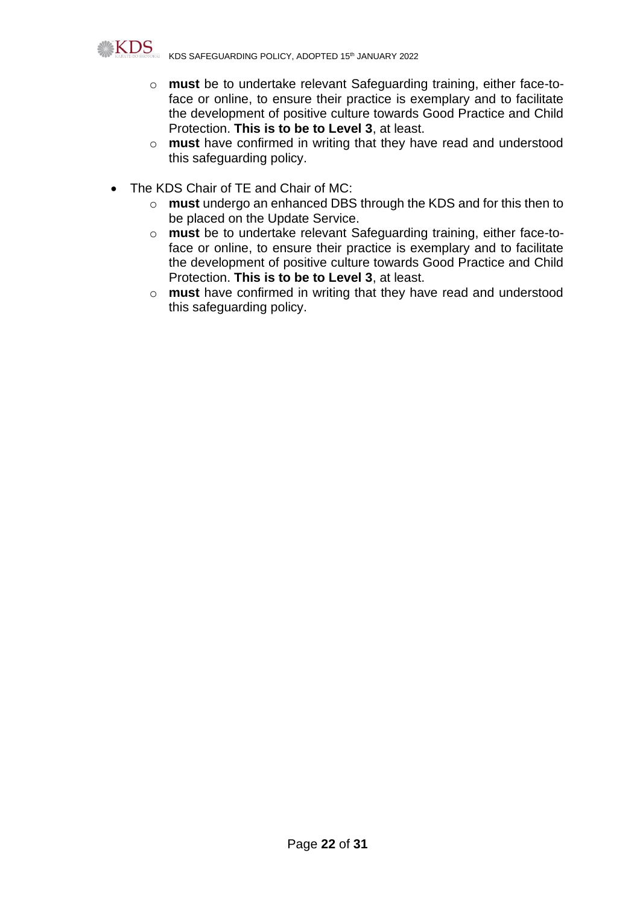

KDS SAFEGUARDING POLICY, ADOPTED 15th JANUARY 2022

- o **must** be to undertake relevant Safeguarding training, either face-toface or online, to ensure their practice is exemplary and to facilitate the development of positive culture towards Good Practice and Child Protection. **This is to be to Level 3**, at least.
- o **must** have confirmed in writing that they have read and understood this safeguarding policy.
- The KDS Chair of TE and Chair of MC:
	- o **must** undergo an enhanced DBS through the KDS and for this then to be placed on the Update Service.
	- o **must** be to undertake relevant Safeguarding training, either face-toface or online, to ensure their practice is exemplary and to facilitate the development of positive culture towards Good Practice and Child Protection. **This is to be to Level 3**, at least.
	- o **must** have confirmed in writing that they have read and understood this safeguarding policy.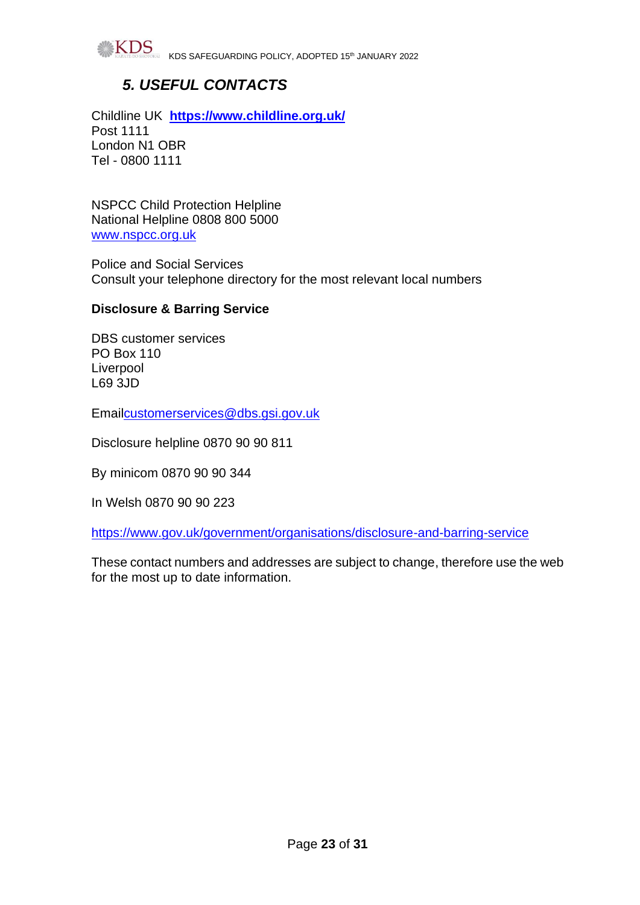

KDS SAFEGUARDING POLICY, ADOPTED 15th JANUARY 2022

# *5. USEFUL CONTACTS*

Childline UK **<https://www.childline.org.uk/>** Post 1111 London N1 OBR Tel - 0800 1111

NSPCC Child Protection Helpline National Helpline 0808 800 5000 [www.nspcc.org.uk](http://www.nspcc.org.uk/)

Police and Social Services Consult your telephone directory for the most relevant local numbers

#### **Disclosure & Barring Service**

DBS customer services PO Box 110 **Liverpool** L69 3JD

Emai[lcustomerservices@dbs.gsi.gov.uk](mailto:customerservices@dbs.gsi.gov.uk)

Disclosure helpline 0870 90 90 811

By minicom 0870 90 90 344

In Welsh 0870 90 90 223

<https://www.gov.uk/government/organisations/disclosure-and-barring-service>

These contact numbers and addresses are subject to change, therefore use the web for the most up to date information.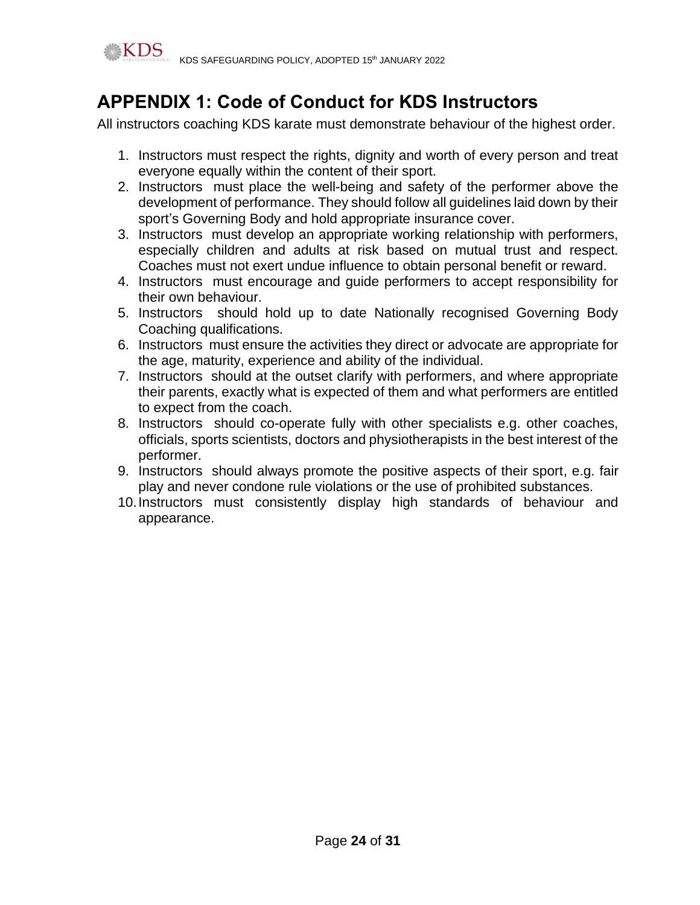

# **APPENDIX 1: Code of Conduct for KDS Instructors**

All instructors coaching KDS karate must demonstrate behaviour of the highest order.

- 1. Instructors must respect the rights, dignity and worth of every person and treat everyone equally within the content of their sport.
- 2. Instructors must place the well-being and safety of the performer above the development of performance. They should follow all guidelines laid down by their sport's Governing Body and hold appropriate insurance cover.
- 3. Instructors must develop an appropriate working relationship with performers, especially children and adults at risk based on mutual trust and respect. Coaches must not exert undue influence to obtain personal benefit or reward.
- 4. Instructors must encourage and guide performers to accept responsibility for their own behaviour.
- 5. Instructors should hold up to date Nationally recognised Governing Body Coaching qualifications.
- 6. Instructors must ensure the activities they direct or advocate are appropriate for the age, maturity, experience and ability of the individual.
- 7. Instructors should at the outset clarify with performers, and where appropriate their parents, exactly what is expected of them and what performers are entitled to expect from the coach.
- 8. Instructors should co-operate fully with other specialists e.g. other coaches, officials, sports scientists, doctors and physiotherapists in the best interest of the performer.
- 9. Instructors should always promote the positive aspects of their sport, e.g. fair play and never condone rule violations or the use of prohibited substances.
- 10.Instructors must consistently display high standards of behaviour and appearance.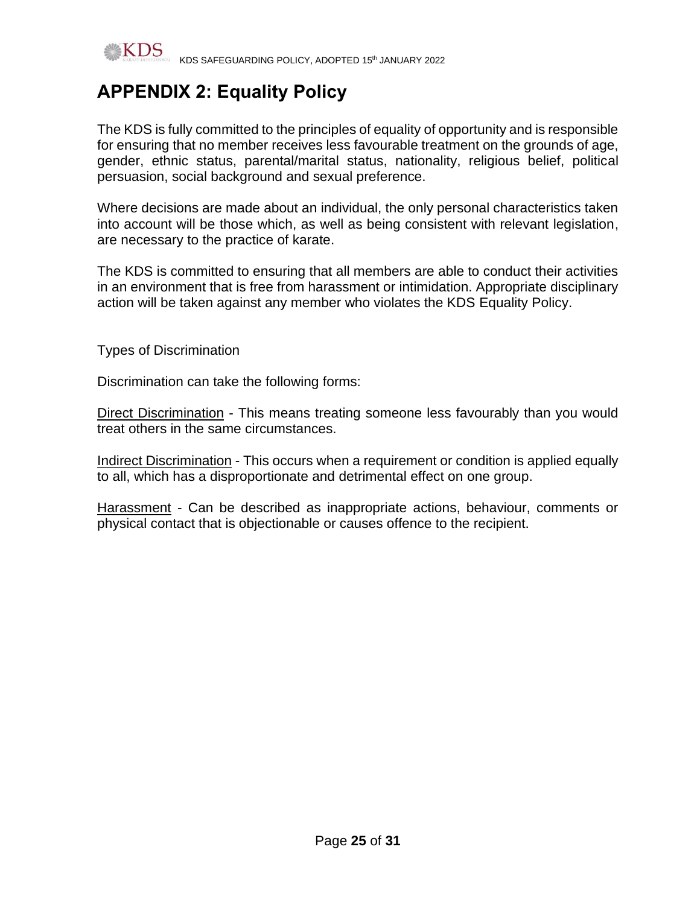

# **APPENDIX 2: Equality Policy**

The KDS is fully committed to the principles of equality of opportunity and is responsible for ensuring that no member receives less favourable treatment on the grounds of age, gender, ethnic status, parental/marital status, nationality, religious belief, political persuasion, social background and sexual preference.

Where decisions are made about an individual, the only personal characteristics taken into account will be those which, as well as being consistent with relevant legislation, are necessary to the practice of karate.

The KDS is committed to ensuring that all members are able to conduct their activities in an environment that is free from harassment or intimidation. Appropriate disciplinary action will be taken against any member who violates the KDS Equality Policy.

Types of Discrimination

Discrimination can take the following forms:

Direct Discrimination - This means treating someone less favourably than you would treat others in the same circumstances.

Indirect Discrimination - This occurs when a requirement or condition is applied equally to all, which has a disproportionate and detrimental effect on one group.

Harassment - Can be described as inappropriate actions, behaviour, comments or physical contact that is objectionable or causes offence to the recipient.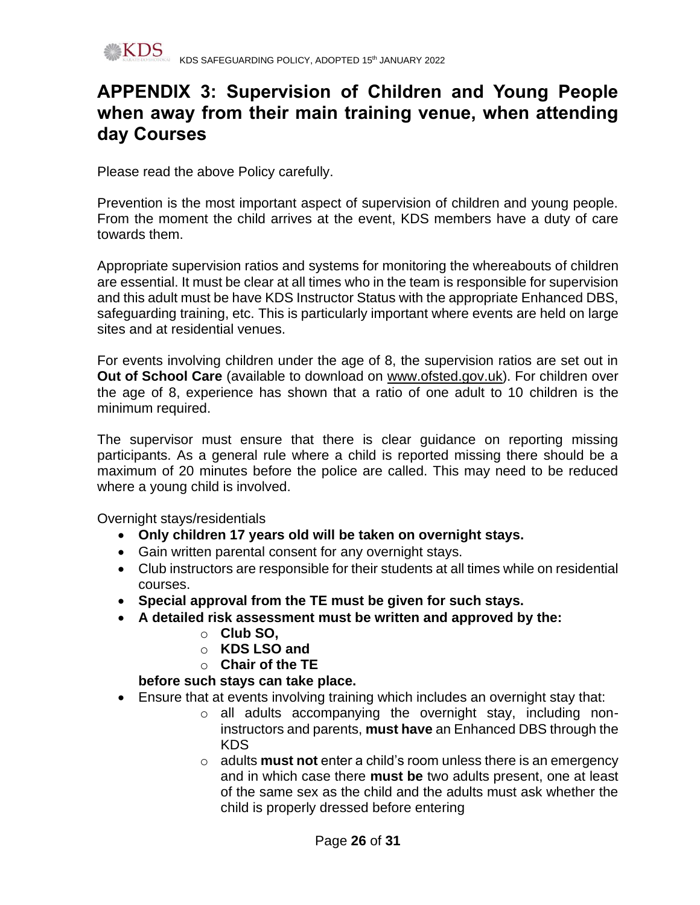

# **APPENDIX 3: Supervision of Children and Young People when away from their main training venue, when attending day Courses**

Please read the above Policy carefully.

Prevention is the most important aspect of supervision of children and young people. From the moment the child arrives at the event, KDS members have a duty of care towards them.

Appropriate supervision ratios and systems for monitoring the whereabouts of children are essential. It must be clear at all times who in the team is responsible for supervision and this adult must be have KDS Instructor Status with the appropriate Enhanced DBS, safeguarding training, etc. This is particularly important where events are held on large sites and at residential venues.

For events involving children under the age of 8, the supervision ratios are set out in **Out of School Care** (available to download on www.ofsted.gov.uk). For children over the age of 8, experience has shown that a ratio of one adult to 10 children is the minimum required.

The supervisor must ensure that there is clear guidance on reporting missing participants. As a general rule where a child is reported missing there should be a maximum of 20 minutes before the police are called. This may need to be reduced where a young child is involved.

Overnight stays/residentials

- **Only children 17 years old will be taken on overnight stays.**
- Gain written parental consent for any overnight stays.
- Club instructors are responsible for their students at all times while on residential courses.
- **Special approval from the TE must be given for such stays.**
- **A detailed risk assessment must be written and approved by the:**
	- o **Club SO,** 
		- o **KDS LSO and**
	- o **Chair of the TE**

## **before such stays can take place.**

- Ensure that at events involving training which includes an overnight stay that:
	- o all adults accompanying the overnight stay, including noninstructors and parents, **must have** an Enhanced DBS through the KDS
	- o adults **must not** enter a child's room unless there is an emergency and in which case there **must be** two adults present, one at least of the same sex as the child and the adults must ask whether the child is properly dressed before entering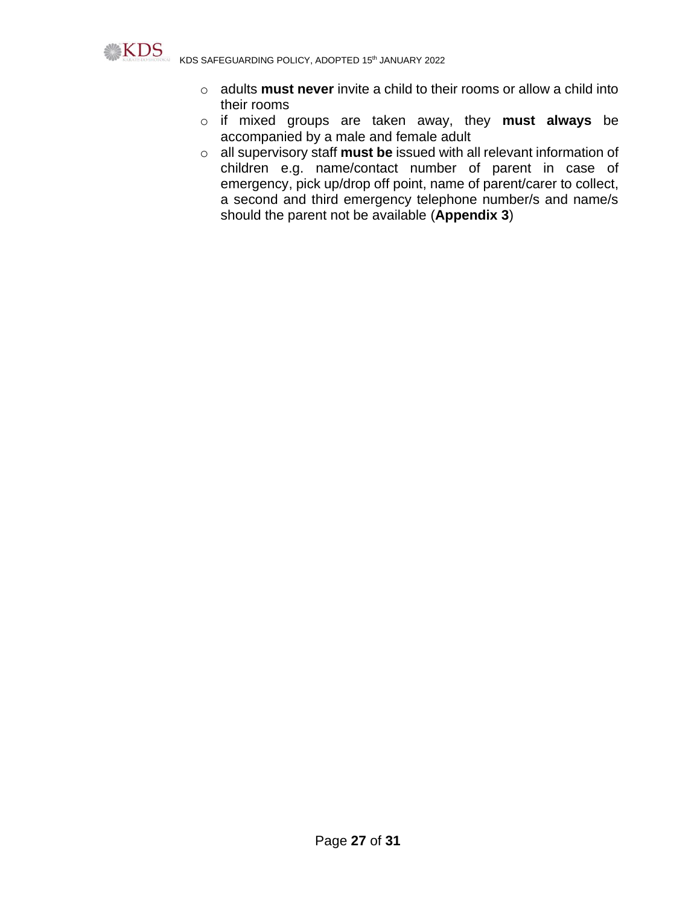

KDS SAFEGUARDING POLICY, ADOPTED 15th JANUARY 2022

- o adults **must never** invite a child to their rooms or allow a child into their rooms
- o if mixed groups are taken away, they **must always** be accompanied by a male and female adult
- o all supervisory staff **must be** issued with all relevant information of children e.g. name/contact number of parent in case of emergency, pick up/drop off point, name of parent/carer to collect, a second and third emergency telephone number/s and name/s should the parent not be available (**Appendix 3**)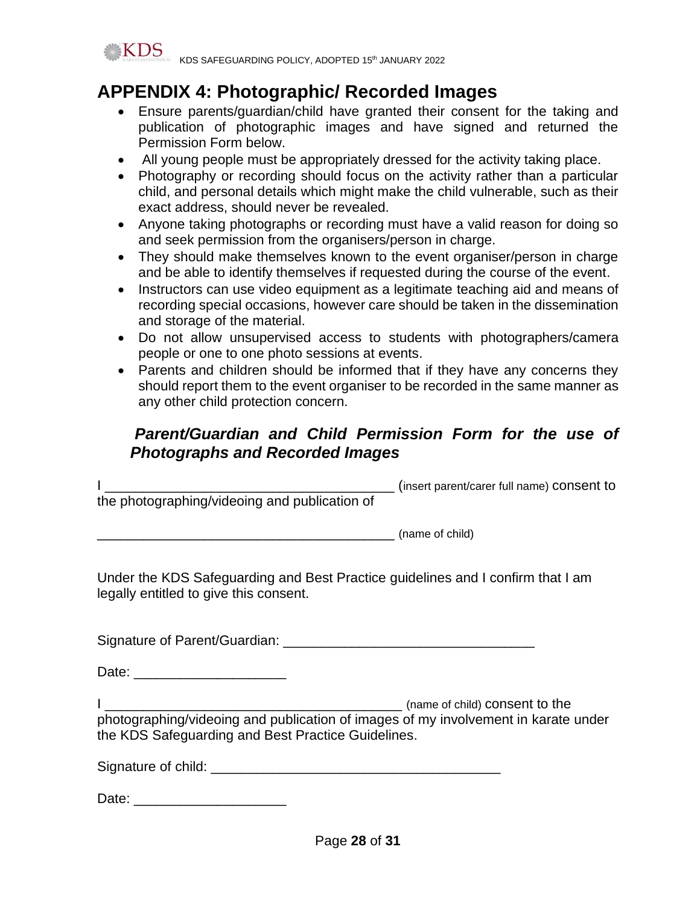

# **APPENDIX 4: Photographic/ Recorded Images**

- Ensure parents/guardian/child have granted their consent for the taking and publication of photographic images and have signed and returned the Permission Form below.
- All young people must be appropriately dressed for the activity taking place.
- Photography or recording should focus on the activity rather than a particular child, and personal details which might make the child vulnerable, such as their exact address, should never be revealed.
- Anyone taking photographs or recording must have a valid reason for doing so and seek permission from the organisers/person in charge.
- They should make themselves known to the event organiser/person in charge and be able to identify themselves if requested during the course of the event.
- Instructors can use video equipment as a legitimate teaching aid and means of recording special occasions, however care should be taken in the dissemination and storage of the material.
- Do not allow unsupervised access to students with photographers/camera people or one to one photo sessions at events.
- Parents and children should be informed that if they have any concerns they should report them to the event organiser to be recorded in the same manner as any other child protection concern.

# *Parent/Guardian and Child Permission Form for the use of Photographs and Recorded Images*

| <u> 2002 - Jan Barbarat, martin da basar da basar da basar da basar da basar da basar da basar da basar da basar</u>                     | (insert parent/carer full name) consent to |
|------------------------------------------------------------------------------------------------------------------------------------------|--------------------------------------------|
| the photographing/videoing and publication of                                                                                            |                                            |
| (name of child)                                                                                                                          |                                            |
| Under the KDS Safeguarding and Best Practice guidelines and I confirm that I am<br>legally entitled to give this consent.                |                                            |
|                                                                                                                                          |                                            |
| Date: _________________________                                                                                                          |                                            |
| photographing/videoing and publication of images of my involvement in karate under<br>the KDS Safeguarding and Best Practice Guidelines. |                                            |
|                                                                                                                                          |                                            |
| Date:                                                                                                                                    |                                            |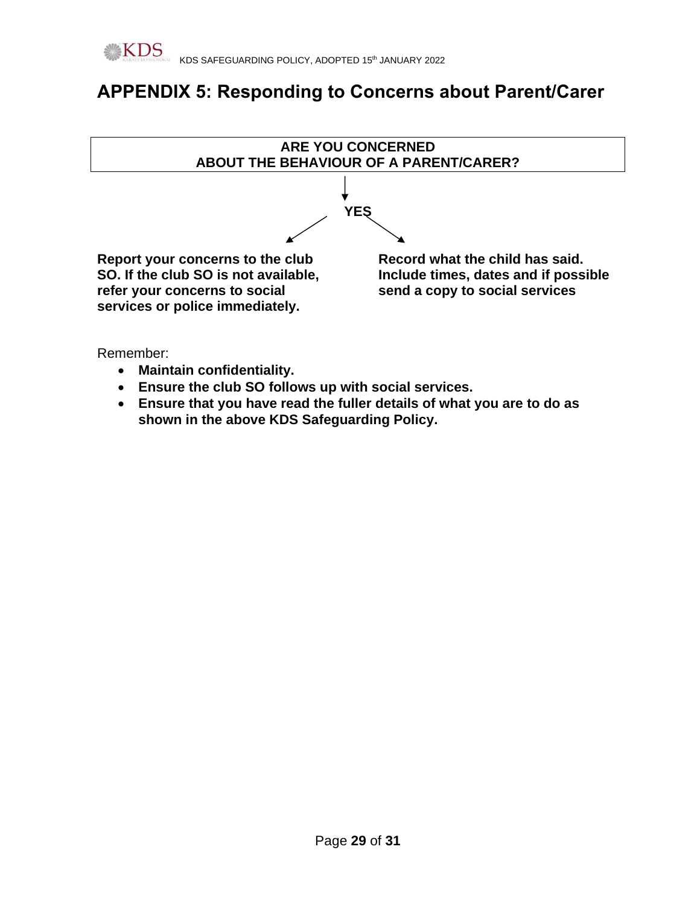# **APPENDIX 5: Responding to Concerns about Parent/Carer**



Remember:

- **Maintain confidentiality.**
- **Ensure the club SO follows up with social services.**
- **Ensure that you have read the fuller details of what you are to do as shown in the above KDS Safeguarding Policy.**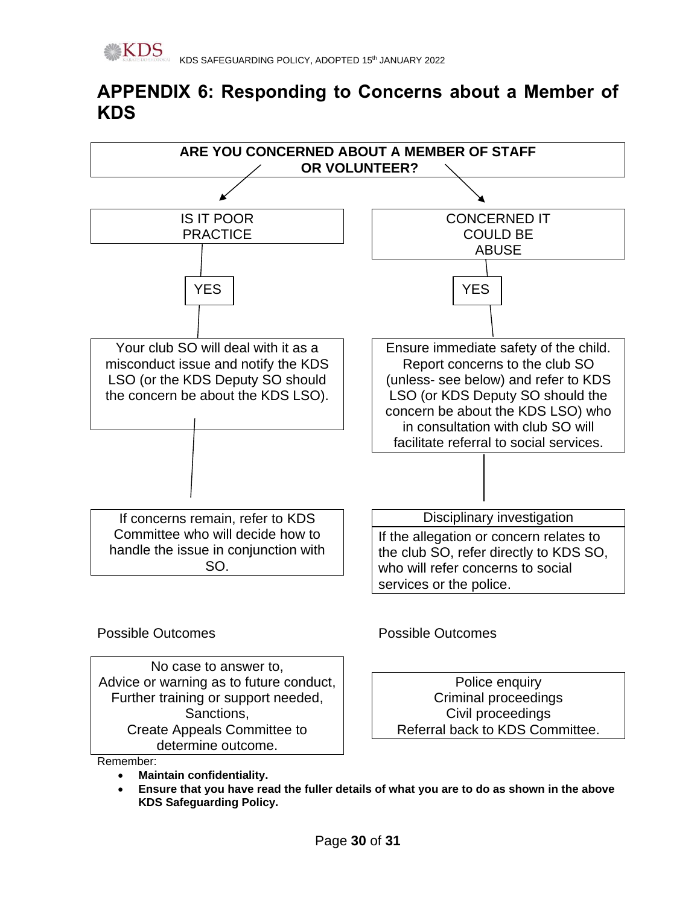# **APPENDIX 6: Responding to Concerns about a Member of KDS**